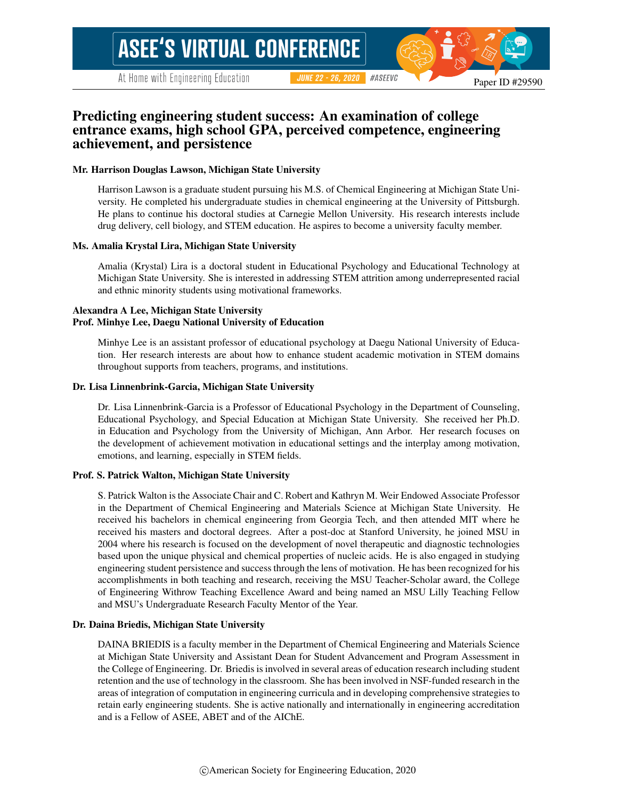# **ASEE'S VIRTUAL CONFERENCE**

At Home with Engineering Education

**JUNE 22 - 26, 2020** #ASEEVC

# Predicting engineering student success: An examination of college entrance exams, high school GPA, perceived competence, engineering achievement, and persistence

### Mr. Harrison Douglas Lawson, Michigan State University

Harrison Lawson is a graduate student pursuing his M.S. of Chemical Engineering at Michigan State University. He completed his undergraduate studies in chemical engineering at the University of Pittsburgh. He plans to continue his doctoral studies at Carnegie Mellon University. His research interests include drug delivery, cell biology, and STEM education. He aspires to become a university faculty member.

### Ms. Amalia Krystal Lira, Michigan State University

Amalia (Krystal) Lira is a doctoral student in Educational Psychology and Educational Technology at Michigan State University. She is interested in addressing STEM attrition among underrepresented racial and ethnic minority students using motivational frameworks.

### Alexandra A Lee, Michigan State University Prof. Minhye Lee, Daegu National University of Education

Minhye Lee is an assistant professor of educational psychology at Daegu National University of Education. Her research interests are about how to enhance student academic motivation in STEM domains throughout supports from teachers, programs, and institutions.

### Dr. Lisa Linnenbrink-Garcia, Michigan State University

Dr. Lisa Linnenbrink-Garcia is a Professor of Educational Psychology in the Department of Counseling, Educational Psychology, and Special Education at Michigan State University. She received her Ph.D. in Education and Psychology from the University of Michigan, Ann Arbor. Her research focuses on the development of achievement motivation in educational settings and the interplay among motivation, emotions, and learning, especially in STEM fields.

### Prof. S. Patrick Walton, Michigan State University

S. Patrick Walton is the Associate Chair and C. Robert and Kathryn M. Weir Endowed Associate Professor in the Department of Chemical Engineering and Materials Science at Michigan State University. He received his bachelors in chemical engineering from Georgia Tech, and then attended MIT where he received his masters and doctoral degrees. After a post-doc at Stanford University, he joined MSU in 2004 where his research is focused on the development of novel therapeutic and diagnostic technologies based upon the unique physical and chemical properties of nucleic acids. He is also engaged in studying engineering student persistence and success through the lens of motivation. He has been recognized for his accomplishments in both teaching and research, receiving the MSU Teacher-Scholar award, the College of Engineering Withrow Teaching Excellence Award and being named an MSU Lilly Teaching Fellow and MSU's Undergraduate Research Faculty Mentor of the Year.

### Dr. Daina Briedis, Michigan State University

DAINA BRIEDIS is a faculty member in the Department of Chemical Engineering and Materials Science at Michigan State University and Assistant Dean for Student Advancement and Program Assessment in the College of Engineering. Dr. Briedis is involved in several areas of education research including student retention and the use of technology in the classroom. She has been involved in NSF-funded research in the areas of integration of computation in engineering curricula and in developing comprehensive strategies to retain early engineering students. She is active nationally and internationally in engineering accreditation and is a Fellow of ASEE, ABET and of the AIChE.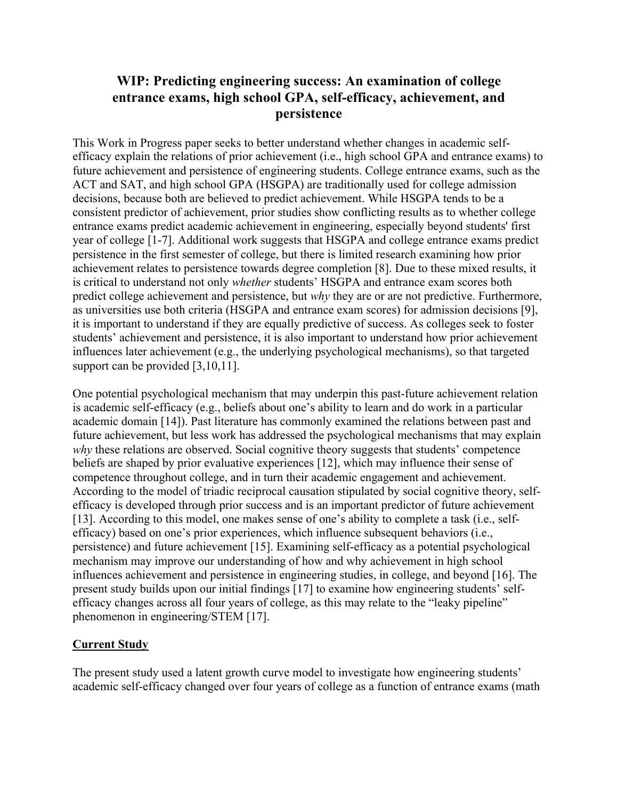# **WIP: Predicting engineering success: An examination of college entrance exams, high school GPA, self-efficacy, achievement, and persistence**

This Work in Progress paper seeks to better understand whether changes in academic selfefficacy explain the relations of prior achievement (i.e., high school GPA and entrance exams) to future achievement and persistence of engineering students. College entrance exams, such as the ACT and SAT, and high school GPA (HSGPA) are traditionally used for college admission decisions, because both are believed to predict achievement. While HSGPA tends to be a consistent predictor of achievement, prior studies show conflicting results as to whether college entrance exams predict academic achievement in engineering, especially beyond students' first year of college [1-7]. Additional work suggests that HSGPA and college entrance exams predict persistence in the first semester of college, but there is limited research examining how prior achievement relates to persistence towards degree completion [8]. Due to these mixed results, it is critical to understand not only *whether* students' HSGPA and entrance exam scores both predict college achievement and persistence, but *why* they are or are not predictive. Furthermore, as universities use both criteria (HSGPA and entrance exam scores) for admission decisions [9], it is important to understand if they are equally predictive of success. As colleges seek to foster students' achievement and persistence, it is also important to understand how prior achievement influences later achievement (e.g., the underlying psychological mechanisms), so that targeted support can be provided [3,10,11].

One potential psychological mechanism that may underpin this past-future achievement relation is academic self-efficacy (e.g., beliefs about one's ability to learn and do work in a particular academic domain [14]). Past literature has commonly examined the relations between past and future achievement, but less work has addressed the psychological mechanisms that may explain *why* these relations are observed. Social cognitive theory suggests that students' competence beliefs are shaped by prior evaluative experiences [12], which may influence their sense of competence throughout college, and in turn their academic engagement and achievement. According to the model of triadic reciprocal causation stipulated by social cognitive theory, selfefficacy is developed through prior success and is an important predictor of future achievement [13]. According to this model, one makes sense of one's ability to complete a task (i.e., selfefficacy) based on one's prior experiences, which influence subsequent behaviors (i.e., persistence) and future achievement [15]. Examining self-efficacy as a potential psychological mechanism may improve our understanding of how and why achievement in high school influences achievement and persistence in engineering studies, in college, and beyond [16]. The present study builds upon our initial findings [17] to examine how engineering students' selfefficacy changes across all four years of college, as this may relate to the "leaky pipeline" phenomenon in engineering/STEM [17].

# **Current Study**

The present study used a latent growth curve model to investigate how engineering students' academic self-efficacy changed over four years of college as a function of entrance exams (math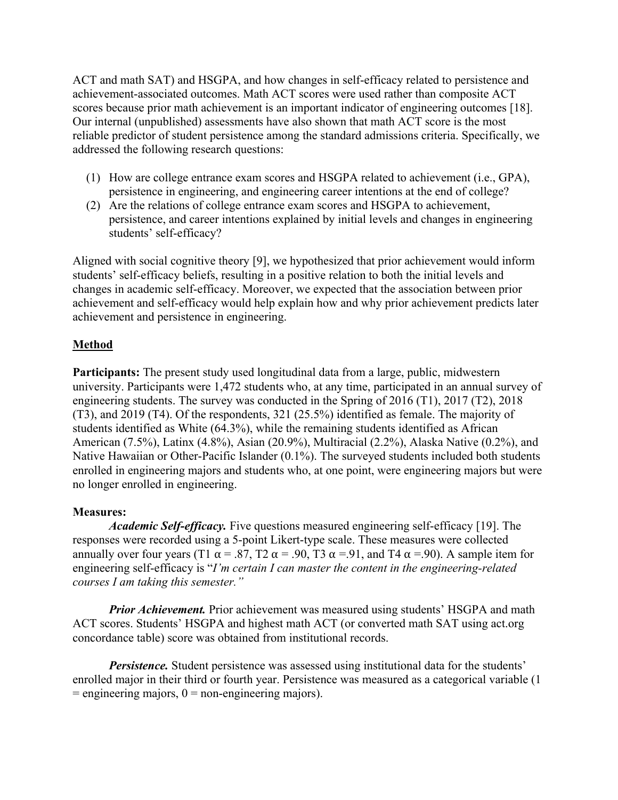ACT and math SAT) and HSGPA, and how changes in self-efficacy related to persistence and achievement-associated outcomes. Math ACT scores were used rather than composite ACT scores because prior math achievement is an important indicator of engineering outcomes [18]. Our internal (unpublished) assessments have also shown that math ACT score is the most reliable predictor of student persistence among the standard admissions criteria. Specifically, we addressed the following research questions:

- (1) How are college entrance exam scores and HSGPA related to achievement (i.e., GPA), persistence in engineering, and engineering career intentions at the end of college?
- (2) Are the relations of college entrance exam scores and HSGPA to achievement, persistence, and career intentions explained by initial levels and changes in engineering students' self-efficacy?

Aligned with social cognitive theory [9], we hypothesized that prior achievement would inform students' self-efficacy beliefs, resulting in a positive relation to both the initial levels and changes in academic self-efficacy. Moreover, we expected that the association between prior achievement and self-efficacy would help explain how and why prior achievement predicts later achievement and persistence in engineering.

# **Method**

**Participants:** The present study used longitudinal data from a large, public, midwestern university. Participants were 1,472 students who, at any time, participated in an annual survey of engineering students. The survey was conducted in the Spring of 2016 (T1), 2017 (T2), 2018 (T3), and 2019 (T4). Of the respondents, 321 (25.5%) identified as female. The majority of students identified as White (64.3%), while the remaining students identified as African American (7.5%), Latinx (4.8%), Asian (20.9%), Multiracial (2.2%), Alaska Native (0.2%), and Native Hawaiian or Other-Pacific Islander (0.1%). The surveyed students included both students enrolled in engineering majors and students who, at one point, were engineering majors but were no longer enrolled in engineering.

# **Measures:**

*Academic Self-efficacy.* Five questions measured engineering self-efficacy [19]. The responses were recorded using a 5-point Likert-type scale. These measures were collected annually over four years (T1  $\alpha$  = .87, T2  $\alpha$  = .90, T3  $\alpha$  = .91, and T4  $\alpha$  = .90). A sample item for engineering self-efficacy is "*I'm certain I can master the content in the engineering-related courses I am taking this semester."*

*Prior Achievement.* Prior achievement was measured using students' HSGPA and math ACT scores. Students' HSGPA and highest math ACT (or converted math SAT using act.org concordance table) score was obtained from institutional records.

*Persistence*. Student persistence was assessed using institutional data for the students' enrolled major in their third or fourth year. Persistence was measured as a categorical variable (1  $=$  engineering majors,  $0 =$  non-engineering majors).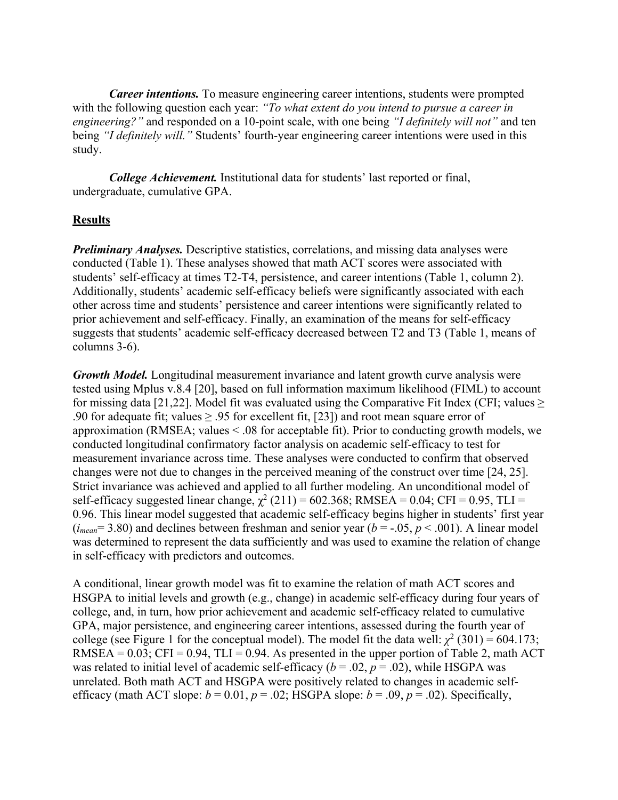*Career intentions.* To measure engineering career intentions, students were prompted with the following question each year: *"To what extent do you intend to pursue a career in engineering?"* and responded on a 10-point scale, with one being *"I definitely will not"* and ten being *"I definitely will."* Students' fourth-year engineering career intentions were used in this study.

*College Achievement.* Institutional data for students' last reported or final, undergraduate, cumulative GPA.

## **Results**

*Preliminary Analyses.* Descriptive statistics, correlations, and missing data analyses were conducted (Table 1). These analyses showed that math ACT scores were associated with students' self-efficacy at times T2-T4, persistence, and career intentions (Table 1, column 2). Additionally, students' academic self-efficacy beliefs were significantly associated with each other across time and students' persistence and career intentions were significantly related to prior achievement and self-efficacy. Finally, an examination of the means for self-efficacy suggests that students' academic self-efficacy decreased between T2 and T3 (Table 1, means of columns 3-6).

*Growth Model.* Longitudinal measurement invariance and latent growth curve analysis were tested using Mplus v.8.4 [20], based on full information maximum likelihood (FIML) to account for missing data [21,22]. Model fit was evaluated using the Comparative Fit Index (CFI; values  $\geq$ .90 for adequate fit; values  $\geq$  .95 for excellent fit, [23]) and root mean square error of approximation (RMSEA; values  $\leq$  08 for acceptable fit). Prior to conducting growth models, we conducted longitudinal confirmatory factor analysis on academic self-efficacy to test for measurement invariance across time. These analyses were conducted to confirm that observed changes were not due to changes in the perceived meaning of the construct over time [24, 25]. Strict invariance was achieved and applied to all further modeling. An unconditional model of self-efficacy suggested linear change,  $\chi^2$  (211) = 602.368; RMSEA = 0.04; CFI = 0.95, TLI = 0.96. This linear model suggested that academic self-efficacy begins higher in students' first year  $(i_{mean} = 3.80)$  and declines between freshman and senior year  $(b = -0.05, p < 0.01)$ . A linear model was determined to represent the data sufficiently and was used to examine the relation of change in self-efficacy with predictors and outcomes.

A conditional, linear growth model was fit to examine the relation of math ACT scores and HSGPA to initial levels and growth (e.g., change) in academic self-efficacy during four years of college, and, in turn, how prior achievement and academic self-efficacy related to cumulative GPA, major persistence, and engineering career intentions, assessed during the fourth year of college (see Figure 1 for the conceptual model). The model fit the data well:  $\chi^2$  (301) = 604.173; RMSEA =  $0.03$ ; CFI =  $0.94$ , TLI =  $0.94$ . As presented in the upper portion of Table 2, math ACT was related to initial level of academic self-efficacy ( $b = .02$ ,  $p = .02$ ), while HSGPA was unrelated. Both math ACT and HSGPA were positively related to changes in academic selfefficacy (math ACT slope:  $b = 0.01$ ,  $p = .02$ ; HSGPA slope:  $b = .09$ ,  $p = .02$ ). Specifically,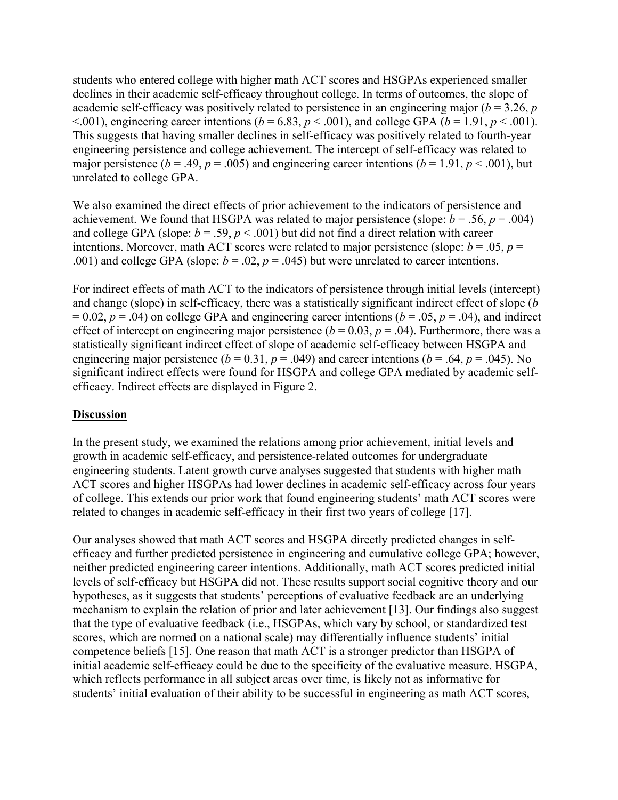students who entered college with higher math ACT scores and HSGPAs experienced smaller declines in their academic self-efficacy throughout college. In terms of outcomes, the slope of academic self-efficacy was positively related to persistence in an engineering major (*b* = 3.26, *p*  $\leq$ .001), engineering career intentions (*b* = 6.83, *p*  $\leq$ .001), and college GPA (*b* = 1.91, *p*  $\leq$ .001). This suggests that having smaller declines in self-efficacy was positively related to fourth-year engineering persistence and college achievement. The intercept of self-efficacy was related to major persistence ( $b = .49$ ,  $p = .005$ ) and engineering career intentions ( $b = 1.91$ ,  $p < .001$ ), but unrelated to college GPA.

We also examined the direct effects of prior achievement to the indicators of persistence and achievement. We found that HSGPA was related to major persistence (slope:  $b = .56$ ,  $p = .004$ ) and college GPA (slope:  $b = .59$ ,  $p < .001$ ) but did not find a direct relation with career intentions. Moreover, math ACT scores were related to major persistence (slope:  $b = .05$ ,  $p =$ .001) and college GPA (slope:  $b = .02$ ,  $p = .045$ ) but were unrelated to career intentions.

For indirect effects of math ACT to the indicators of persistence through initial levels (intercept) and change (slope) in self-efficacy, there was a statistically significant indirect effect of slope (*b*  $= 0.02, p = .04$ ) on college GPA and engineering career intentions ( $b = .05, p = .04$ ), and indirect effect of intercept on engineering major persistence ( $b = 0.03$ ,  $p = .04$ ). Furthermore, there was a statistically significant indirect effect of slope of academic self-efficacy between HSGPA and engineering major persistence ( $b = 0.31$ ,  $p = .049$ ) and career intentions ( $b = .64$ ,  $p = .045$ ). No significant indirect effects were found for HSGPA and college GPA mediated by academic selfefficacy. Indirect effects are displayed in Figure 2.

# **Discussion**

In the present study, we examined the relations among prior achievement, initial levels and growth in academic self-efficacy, and persistence-related outcomes for undergraduate engineering students. Latent growth curve analyses suggested that students with higher math ACT scores and higher HSGPAs had lower declines in academic self-efficacy across four years of college. This extends our prior work that found engineering students' math ACT scores were related to changes in academic self-efficacy in their first two years of college [17].

Our analyses showed that math ACT scores and HSGPA directly predicted changes in selfefficacy and further predicted persistence in engineering and cumulative college GPA; however, neither predicted engineering career intentions. Additionally, math ACT scores predicted initial levels of self-efficacy but HSGPA did not. These results support social cognitive theory and our hypotheses, as it suggests that students' perceptions of evaluative feedback are an underlying mechanism to explain the relation of prior and later achievement [13]. Our findings also suggest that the type of evaluative feedback (i.e., HSGPAs, which vary by school, or standardized test scores, which are normed on a national scale) may differentially influence students' initial competence beliefs [15]. One reason that math ACT is a stronger predictor than HSGPA of initial academic self-efficacy could be due to the specificity of the evaluative measure. HSGPA, which reflects performance in all subject areas over time, is likely not as informative for students' initial evaluation of their ability to be successful in engineering as math ACT scores,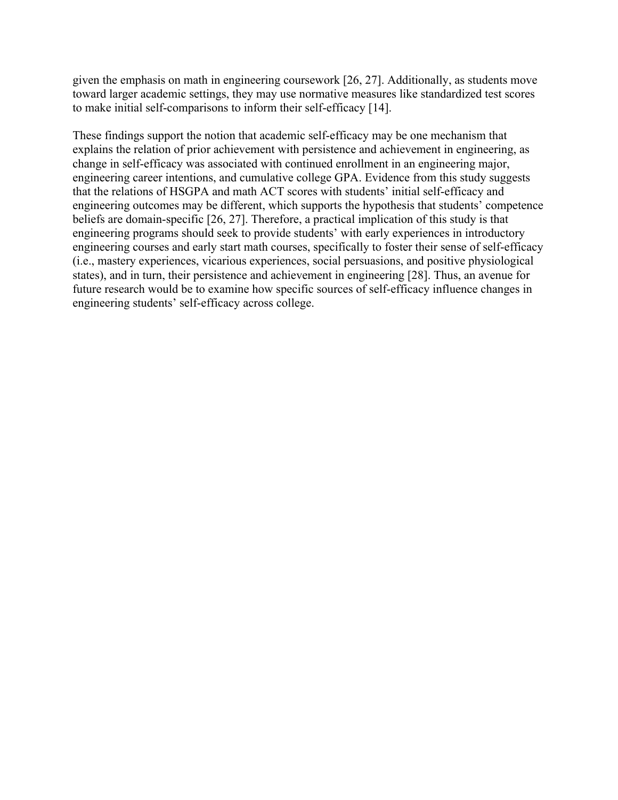given the emphasis on math in engineering coursework [26, 27]. Additionally, as students move toward larger academic settings, they may use normative measures like standardized test scores to make initial self-comparisons to inform their self-efficacy [14].

These findings support the notion that academic self-efficacy may be one mechanism that explains the relation of prior achievement with persistence and achievement in engineering, as change in self-efficacy was associated with continued enrollment in an engineering major, engineering career intentions, and cumulative college GPA. Evidence from this study suggests that the relations of HSGPA and math ACT scores with students' initial self-efficacy and engineering outcomes may be different, which supports the hypothesis that students' competence beliefs are domain-specific [26, 27]. Therefore, a practical implication of this study is that engineering programs should seek to provide students' with early experiences in introductory engineering courses and early start math courses, specifically to foster their sense of self-efficacy (i.e., mastery experiences, vicarious experiences, social persuasions, and positive physiological states), and in turn, their persistence and achievement in engineering [28]. Thus, an avenue for future research would be to examine how specific sources of self-efficacy influence changes in engineering students' self-efficacy across college.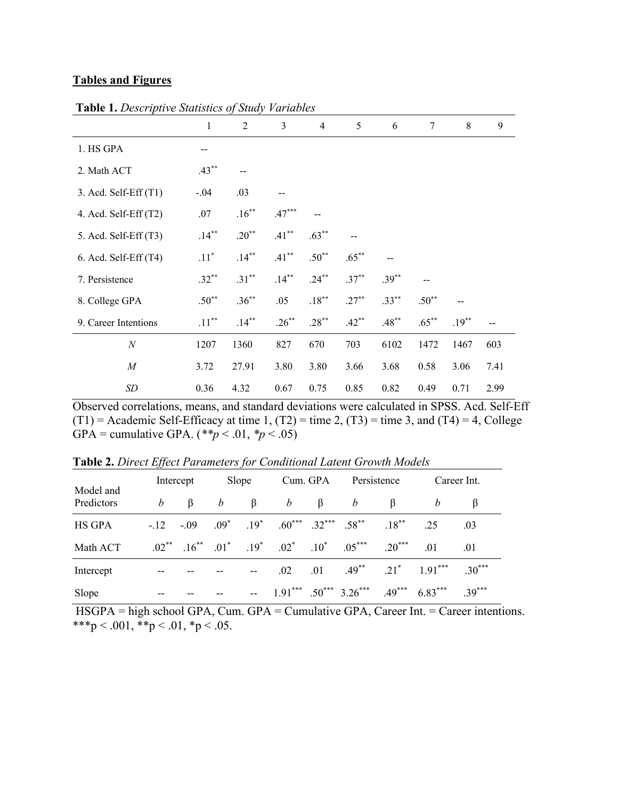### **Tables and Figures**

|                           | $\mathbf{1}$       | 2        | 3        | $\overline{4}$ | 5        | 6        | 7        | 8        | 9    |
|---------------------------|--------------------|----------|----------|----------------|----------|----------|----------|----------|------|
|                           |                    |          |          |                |          |          |          |          |      |
| 1. HS GPA                 |                    |          |          |                |          |          |          |          |      |
| 2. Math ACT               | $.43***$           |          |          |                |          |          |          |          |      |
| $3.$ Acd. Self-Eff $(T1)$ | $-.04$             | .03      |          |                |          |          |          |          |      |
| 4. Acd. Self-Eff (T2)     | .07                | $.16***$ | $.47***$ |                |          |          |          |          |      |
| 5. Acd. Self-Eff (T3)     | $.14***$           | $.20**$  | $.41***$ | $.63***$       |          |          |          |          |      |
| $6.$ Acd. Self-Eff $(T4)$ | $.11$ <sup>*</sup> | $.14***$ | $.41***$ | $.50**$        | $.65***$ |          |          |          |      |
| 7. Persistence            | $.32***$           | $.31***$ | $.14***$ | $.24***$       | $.37***$ | $.39***$ |          |          |      |
| 8. College GPA            | $.50^{**}$         | $.36***$ | .05      | $.18***$       | $.27***$ | $.33***$ | $.50**$  |          |      |
| 9. Career Intentions      | $.11***$           | $.14***$ | $.26***$ | $.28***$       | $.42***$ | $.48***$ | $.65***$ | $.19***$ |      |
| $\boldsymbol{N}$          | 1207               | 1360     | 827      | 670            | 703      | 6102     | 1472     | 1467     | 603  |
| $\boldsymbol{M}$          | 3.72               | 27.91    | 3.80     | 3.80           | 3.66     | 3.68     | 0.58     | 3.06     | 7.41 |
| SD                        | 0.36               | 4.32     | 0.67     | 0.75           | 0.85     | 0.82     | 0.49     | 0.71     | 2.99 |

**Table 1.** *Descriptive Statistics of Study Variables*

Observed correlations, means, and standard deviations were calculated in SPSS. Acd. Self-Eff  $(T1)$  = Academic Self-Efficacy at time 1,  $(T2)$  = time 2,  $(T3)$  = time 3, and  $(T4)$  = 4, College GPA = cumulative GPA.  $(*p < .01, *p < .05)$ 

| Model and<br>Predictors | Intercept |  | Slope            |         |   |                  | Cum. GPA Persistence                                                    |                                                                                       | Career Int.                                     |          |
|-------------------------|-----------|--|------------------|---------|---|------------------|-------------------------------------------------------------------------|---------------------------------------------------------------------------------------|-------------------------------------------------|----------|
|                         | b         |  | $\beta$ <i>b</i> | $\beta$ | b | $\beta$ <i>b</i> |                                                                         |                                                                                       | b                                               |          |
| HS GPA                  |           |  |                  |         |   |                  | $-12$ $-09$ $09^*$ $019^*$ $06^{***}$ $032^{***}$ $058^{**}$ $018^{**}$ |                                                                                       | .25                                             | .03      |
| Math ACT                |           |  |                  |         |   |                  |                                                                         | $.02^{**}$ $.16^{**}$ $.01^{*}$ $.19^{*}$ $.02^{*}$ $.10^{*}$ $.05^{***}$ $.20^{***}$ | .01                                             | .01      |
| Intercept               |           |  |                  |         |   |                  |                                                                         |                                                                                       | $.02 \t .01 \t .49^{**} \t .21^* \t 1.91^{***}$ | $.30***$ |
| Slope                   |           |  |                  |         |   |                  | $1.91***$ $.50***$ $3.26***$                                            |                                                                                       | $.49***$ 6.83***                                | $39***$  |

**Table 2.** *Direct Effect Parameters for Conditional Latent Growth Models*

HSGPA = high school GPA, Cum. GPA = Cumulative GPA, Career Int. = Career intentions. \*\*\*p < .001, \*\*p < .01, \*p < .05.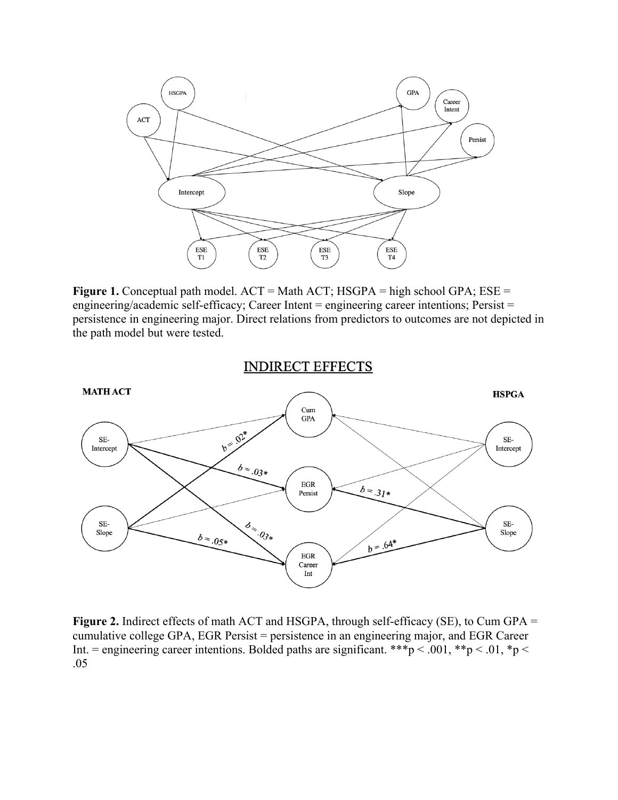

**Figure 1.** Conceptual path model. ACT = Math ACT; HSGPA = high school GPA; ESE = engineering/academic self-efficacy; Career Intent = engineering career intentions; Persist = persistence in engineering major. Direct relations from predictors to outcomes are not depicted in the path model but were tested.

**INDIRECT EFFECTS** 



**Figure 2.** Indirect effects of math ACT and HSGPA, through self-efficacy (SE), to Cum GPA = cumulative college GPA, EGR Persist = persistence in an engineering major, and EGR Career Int. = engineering career intentions. Bolded paths are significant. \*\*\*p < .001, \*\*p < .01, \*p < .05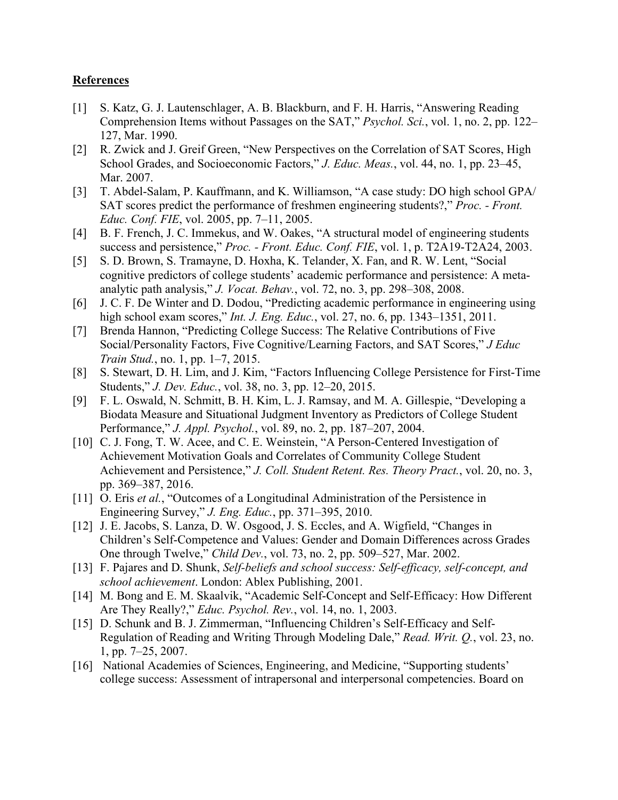## **References**

- [1] S. Katz, G. J. Lautenschlager, A. B. Blackburn, and F. H. Harris, "Answering Reading Comprehension Items without Passages on the SAT," *Psychol. Sci.*, vol. 1, no. 2, pp. 122– 127, Mar. 1990.
- [2] R. Zwick and J. Greif Green, "New Perspectives on the Correlation of SAT Scores, High School Grades, and Socioeconomic Factors," *J. Educ. Meas.*, vol. 44, no. 1, pp. 23–45, Mar. 2007.
- [3] T. Abdel-Salam, P. Kauffmann, and K. Williamson, "A case study: DO high school GPA/ SAT scores predict the performance of freshmen engineering students?," *Proc. - Front. Educ. Conf. FIE*, vol. 2005, pp. 7–11, 2005.
- [4] B. F. French, J. C. Immekus, and W. Oakes, "A structural model of engineering students success and persistence," *Proc. - Front. Educ. Conf. FIE*, vol. 1, p. T2A19-T2A24, 2003.
- [5] S. D. Brown, S. Tramayne, D. Hoxha, K. Telander, X. Fan, and R. W. Lent, "Social cognitive predictors of college students' academic performance and persistence: A metaanalytic path analysis," *J. Vocat. Behav.*, vol. 72, no. 3, pp. 298–308, 2008.
- [6] J. C. F. De Winter and D. Dodou, "Predicting academic performance in engineering using high school exam scores," *Int. J. Eng. Educ.*, vol. 27, no. 6, pp. 1343–1351, 2011.
- [7] Brenda Hannon, "Predicting College Success: The Relative Contributions of Five Social/Personality Factors, Five Cognitive/Learning Factors, and SAT Scores," *J Educ Train Stud.*, no. 1, pp. 1–7, 2015.
- [8] S. Stewart, D. H. Lim, and J. Kim, "Factors Influencing College Persistence for First-Time Students," *J. Dev. Educ.*, vol. 38, no. 3, pp. 12–20, 2015.
- [9] F. L. Oswald, N. Schmitt, B. H. Kim, L. J. Ramsay, and M. A. Gillespie, "Developing a Biodata Measure and Situational Judgment Inventory as Predictors of College Student Performance," *J. Appl. Psychol.*, vol. 89, no. 2, pp. 187–207, 2004.
- [10] C. J. Fong, T. W. Acee, and C. E. Weinstein, "A Person-Centered Investigation of Achievement Motivation Goals and Correlates of Community College Student Achievement and Persistence," *J. Coll. Student Retent. Res. Theory Pract.*, vol. 20, no. 3, pp. 369–387, 2016.
- [11] O. Eris *et al.*, "Outcomes of a Longitudinal Administration of the Persistence in Engineering Survey," *J. Eng. Educ.*, pp. 371–395, 2010.
- [12] J. E. Jacobs, S. Lanza, D. W. Osgood, J. S. Eccles, and A. Wigfield, "Changes in Children's Self-Competence and Values: Gender and Domain Differences across Grades One through Twelve," *Child Dev.*, vol. 73, no. 2, pp. 509–527, Mar. 2002.
- [13] F. Pajares and D. Shunk, *Self-beliefs and school success: Self-efficacy, self-concept, and school achievement*. London: Ablex Publishing, 2001.
- [14] M. Bong and E. M. Skaalvik, "Academic Self-Concept and Self-Efficacy: How Different Are They Really?," *Educ. Psychol. Rev.*, vol. 14, no. 1, 2003.
- [15] D. Schunk and B. J. Zimmerman, "Influencing Children's Self-Efficacy and Self-Regulation of Reading and Writing Through Modeling Dale," *Read. Writ. Q.*, vol. 23, no. 1, pp. 7–25, 2007.
- [16] National Academies of Sciences, Engineering, and Medicine, "Supporting students' college success: Assessment of intrapersonal and interpersonal competencies. Board on